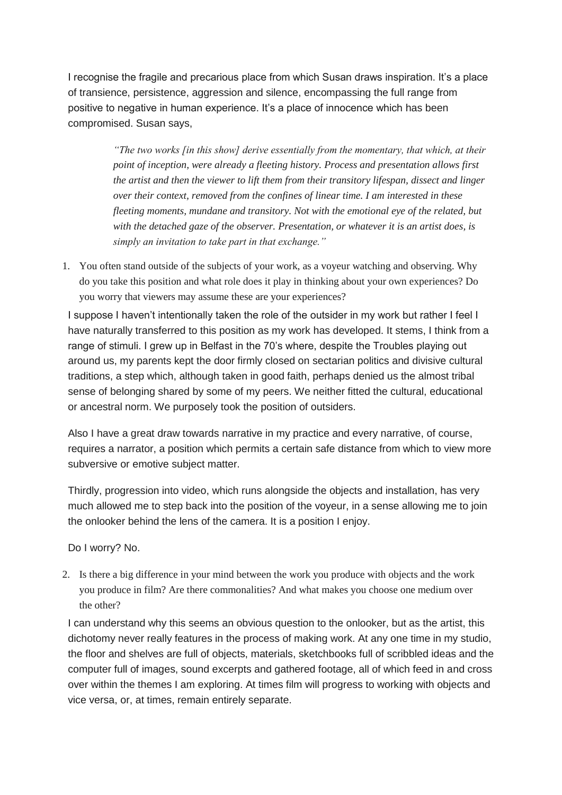I recognise the fragile and precarious place from which Susan draws inspiration. It's a place of transience, persistence, aggression and silence, encompassing the full range from positive to negative in human experience. It's a place of innocence which has been compromised. Susan says,

> *"The two works [in this show] derive essentially from the momentary, that which, at their point of inception, were already a fleeting history. Process and presentation allows first the artist and then the viewer to lift them from their transitory lifespan, dissect and linger over their context, removed from the confines of linear time. I am interested in these fleeting moments, mundane and transitory. Not with the emotional eye of the related, but with the detached gaze of the observer. Presentation, or whatever it is an artist does, is simply an invitation to take part in that exchange."*

1. You often stand outside of the subjects of your work, as a voyeur watching and observing. Why do you take this position and what role does it play in thinking about your own experiences? Do you worry that viewers may assume these are your experiences?

I suppose I haven't intentionally taken the role of the outsider in my work but rather I feel I have naturally transferred to this position as my work has developed. It stems, I think from a range of stimuli. I grew up in Belfast in the 70's where, despite the Troubles playing out around us, my parents kept the door firmly closed on sectarian politics and divisive cultural traditions, a step which, although taken in good faith, perhaps denied us the almost tribal sense of belonging shared by some of my peers. We neither fitted the cultural, educational or ancestral norm. We purposely took the position of outsiders.

Also I have a great draw towards narrative in my practice and every narrative, of course, requires a narrator, a position which permits a certain safe distance from which to view more subversive or emotive subject matter.

Thirdly, progression into video, which runs alongside the objects and installation, has very much allowed me to step back into the position of the voyeur, in a sense allowing me to join the onlooker behind the lens of the camera. It is a position I enjoy.

Do I worry? No.

2. Is there a big difference in your mind between the work you produce with objects and the work you produce in film? Are there commonalities? And what makes you choose one medium over the other?

I can understand why this seems an obvious question to the onlooker, but as the artist, this dichotomy never really features in the process of making work. At any one time in my studio, the floor and shelves are full of objects, materials, sketchbooks full of scribbled ideas and the computer full of images, sound excerpts and gathered footage, all of which feed in and cross over within the themes I am exploring. At times film will progress to working with objects and vice versa, or, at times, remain entirely separate.